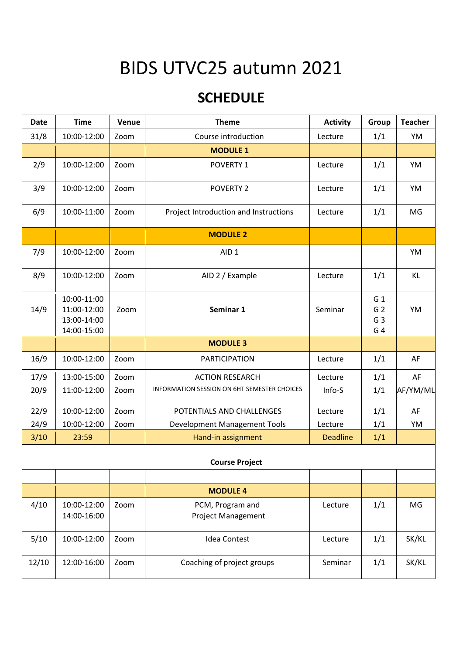## BIDS UTVC25 autumn 2021

## **SCHEDULE**

| <b>Date</b>           | <b>Time</b>                                              | Venue | <b>Theme</b>                                  | <b>Activity</b> | Group                                                     | <b>Teacher</b> |  |  |  |
|-----------------------|----------------------------------------------------------|-------|-----------------------------------------------|-----------------|-----------------------------------------------------------|----------------|--|--|--|
| 31/8                  | 10:00-12:00                                              | Zoom  | Course introduction                           | Lecture         | 1/1                                                       | YM             |  |  |  |
|                       |                                                          |       | <b>MODULE 1</b>                               |                 |                                                           |                |  |  |  |
| 2/9                   | 10:00-12:00                                              | Zoom  | POVERTY 1                                     | Lecture         | 1/1                                                       | YM             |  |  |  |
| 3/9                   | 10:00-12:00                                              | Zoom  | <b>POVERTY 2</b>                              | Lecture         | 1/1                                                       | YM             |  |  |  |
| 6/9                   | 10:00-11:00                                              | Zoom  | Project Introduction and Instructions         | Lecture         | 1/1                                                       | MG             |  |  |  |
|                       | <b>MODULE 2</b>                                          |       |                                               |                 |                                                           |                |  |  |  |
| 7/9                   | 10:00-12:00                                              | Zoom  | AID <sub>1</sub>                              |                 |                                                           | YM             |  |  |  |
| 8/9                   | 10:00-12:00                                              | Zoom  | AID 2 / Example                               | Lecture         | 1/1                                                       | KL             |  |  |  |
| 14/9                  | 10:00-11:00<br>11:00-12:00<br>13:00-14:00<br>14:00-15:00 | Zoom  | Seminar 1                                     | Seminar         | G <sub>1</sub><br>G <sub>2</sub><br>G <sub>3</sub><br>G 4 | YM             |  |  |  |
|                       |                                                          |       | <b>MODULE 3</b>                               |                 |                                                           |                |  |  |  |
| 16/9                  | 10:00-12:00                                              | Zoom  | <b>PARTICIPATION</b>                          | Lecture         | 1/1                                                       | AF             |  |  |  |
| 17/9                  | 13:00-15:00                                              | Zoom  | <b>ACTION RESEARCH</b>                        | Lecture         | 1/1                                                       | AF             |  |  |  |
| 20/9                  | 11:00-12:00                                              | Zoom  | INFORMATION SESSION ON 6HT SEMESTER CHOICES   | Info-S          | 1/1                                                       | AF/YM/ML       |  |  |  |
| 22/9                  | 10:00-12:00                                              | Zoom  | POTENTIALS AND CHALLENGES                     | Lecture         | 1/1                                                       | AF             |  |  |  |
| 24/9                  | 10:00-12:00                                              | Zoom  | Development Management Tools                  | Lecture         | 1/1                                                       | YM             |  |  |  |
| 3/10                  | 23:59                                                    |       | Hand-in assignment                            | <b>Deadline</b> | 1/1                                                       |                |  |  |  |
| <b>Course Project</b> |                                                          |       |                                               |                 |                                                           |                |  |  |  |
|                       |                                                          |       |                                               |                 |                                                           |                |  |  |  |
|                       |                                                          |       | <b>MODULE 4</b>                               |                 |                                                           |                |  |  |  |
| 4/10                  | 10:00-12:00<br>14:00-16:00                               | Zoom  | PCM, Program and<br><b>Project Management</b> | Lecture         | 1/1                                                       | MG             |  |  |  |
| 5/10                  | 10:00-12:00                                              | Zoom  | <b>Idea Contest</b>                           | Lecture         | 1/1                                                       | SK/KL          |  |  |  |
| 12/10                 | 12:00-16:00                                              | Zoom  | Coaching of project groups                    | Seminar         | 1/1                                                       | SK/KL          |  |  |  |